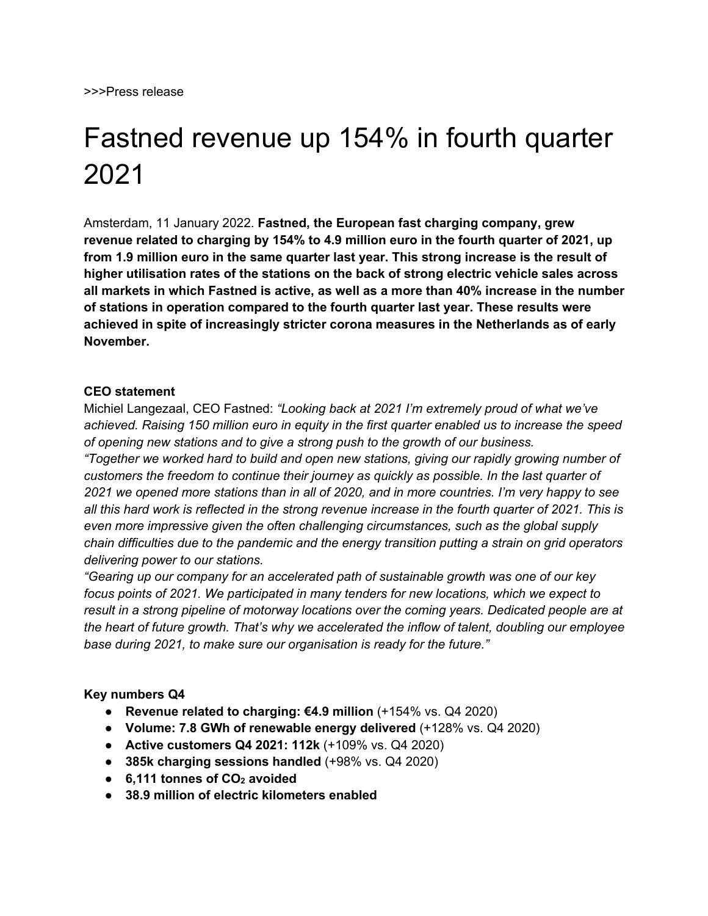# Fastned revenue up 154% in fourth quarter 2021

Amsterdam, 11 January 2022. **Fastned, the European fast charging company, grew revenue related to charging by 154% to 4.9 million euro in the fourth quarter of 2021, up from 1.9 million euro in the same quarter last year. This strong increase is the result of higher utilisation rates of the stations on the back of strong electric vehicle sales across all markets in which Fastned is active, as well as a more than 40% increase in the number of stations in operation compared to the fourth quarter last year. These results were achieved in spite of increasingly stricter corona measures in the Netherlands as of early November.** 

### **CEO statement**

Michiel Langezaal, CEO Fastned: *"Looking back at 2021 I'm extremely proud of what we've achieved. Raising 150 million euro in equity in the first quarter enabled us to increase the speed of opening new stations and to give a strong push to the growth of our business.* 

*"Together we worked hard to build and open new stations, giving our rapidly growing number of customers the freedom to continue their journey as quickly as possible. In the last quarter of 2021 we opened more stations than in all of 2020, and in more countries. I'm very happy to see all this hard work is reflected in the strong revenue increase in the fourth quarter of 2021. This is even more impressive given the often challenging circumstances, such as the global supply chain difficulties due to the pandemic and the energy transition putting a strain on grid operators delivering power to our stations.*

*"Gearing up our company for an accelerated path of sustainable growth was one of our key focus points of 2021. We participated in many tenders for new locations, which we expect to result in a strong pipeline of motorway locations over the coming years. Dedicated people are at the heart of future growth. That's why we accelerated the inflow of talent, doubling our employee base during 2021, to make sure our organisation is ready for the future."* 

### **Key numbers Q4**

- **Revenue related to charging: €4.9 million** (+154% vs. Q4 2020)
- **Volume: 7.8 GWh of renewable energy delivered** (+128% vs. Q4 2020)
- **Active customers Q4 2021: 112k** (+109% vs. Q4 2020)
- **385k charging sessions handled** (+98% vs. Q4 2020)
- **6.111 tonnes of CO<sub>2</sub> avoided**
- **38.9 million of electric kilometers enabled**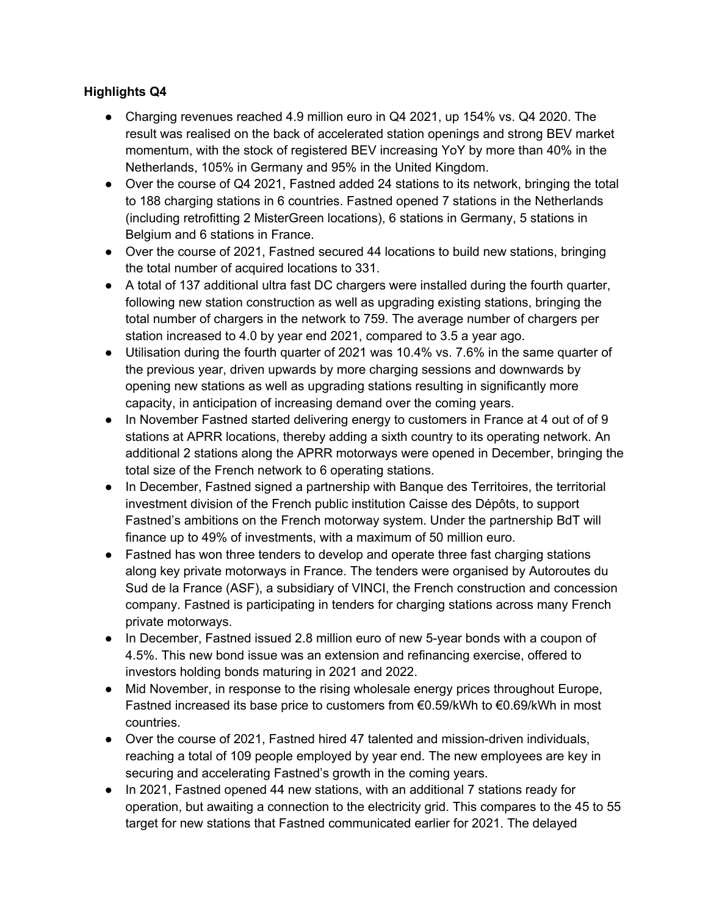## **Highlights Q4**

- Charging revenues reached 4.9 million euro in Q4 2021, up 154% vs. Q4 2020. The result was realised on the back of accelerated station openings and strong BEV market momentum, with the stock of registered BEV increasing YoY by more than 40% in the Netherlands, 105% in Germany and 95% in the United Kingdom.
- Over the course of Q4 2021, Fastned added 24 stations to its network, bringing the total to 188 charging stations in 6 countries. Fastned opened 7 stations in the Netherlands (including retrofitting 2 MisterGreen locations), 6 stations in Germany, 5 stations in Belgium and 6 stations in France.
- Over the course of 2021, Fastned secured 44 locations to build new stations, bringing the total number of acquired locations to 331.
- A total of 137 additional ultra fast DC chargers were installed during the fourth quarter, following new station construction as well as upgrading existing stations, bringing the total number of chargers in the network to 759. The average number of chargers per station increased to 4.0 by year end 2021, compared to 3.5 a year ago.
- Utilisation during the fourth quarter of 2021 was 10.4% vs. 7.6% in the same quarter of the previous year, driven upwards by more charging sessions and downwards by opening new stations as well as upgrading stations resulting in significantly more capacity, in anticipation of increasing demand over the coming years.
- In November Fastned started delivering energy to customers in France at 4 out of of 9 stations at APRR locations, thereby adding a sixth country to its operating network. An additional 2 stations along the APRR motorways were opened in December, bringing the total size of the French network to 6 operating stations.
- In December, Fastned signed a partnership with Banque des Territoires, the territorial investment division of the French public institution Caisse des Dépôts, to support Fastned's ambitions on the French motorway system. Under the partnership BdT will finance up to 49% of investments, with a maximum of 50 million euro.
- Fastned has won three tenders to develop and operate three fast charging stations along key private motorways in France. The tenders were organised by Autoroutes du Sud de la France (ASF), a subsidiary of VINCI, the French construction and concession company. Fastned is participating in tenders for charging stations across many French private motorways.
- In December, Fastned issued 2.8 million euro of new 5-year bonds with a coupon of 4.5%. This new bond issue was an extension and refinancing exercise, offered to investors holding bonds maturing in 2021 and 2022.
- Mid November, in response to the rising wholesale energy prices throughout Europe, Fastned increased its base price to customers from €0.59/kWh to €0.69/kWh in most countries.
- Over the course of 2021, Fastned hired 47 talented and mission-driven individuals, reaching a total of 109 people employed by year end. The new employees are key in securing and accelerating Fastned's growth in the coming years.
- In 2021, Fastned opened 44 new stations, with an additional 7 stations ready for operation, but awaiting a connection to the electricity grid. This compares to the 45 to 55 target for new stations that Fastned communicated earlier for 2021. The delayed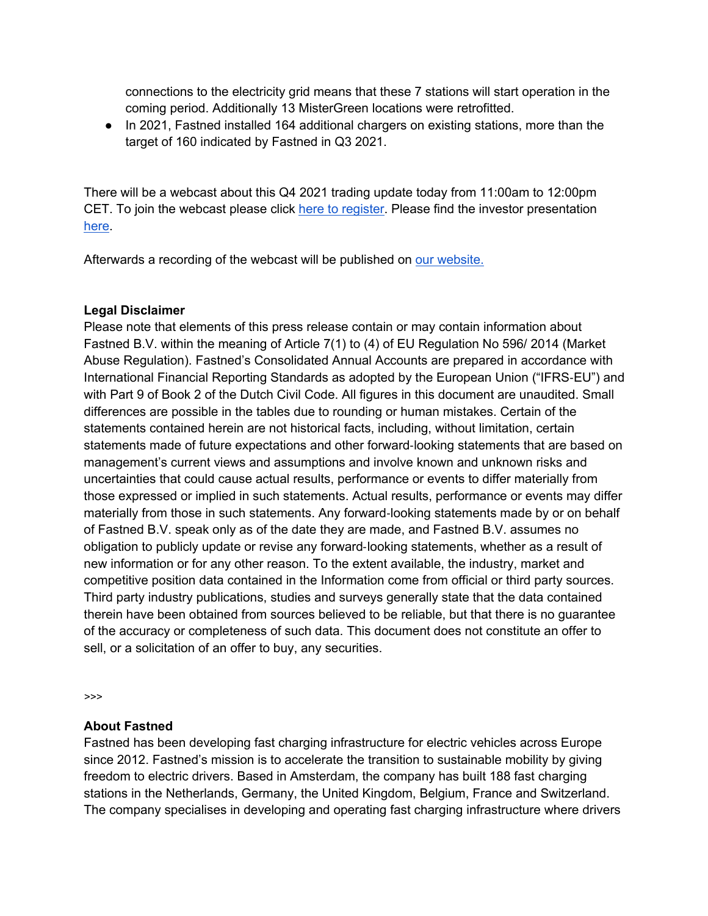connections to the electricity grid means that these 7 stations will start operation in the coming period. Additionally 13 MisterGreen locations were retrofitted.

● In 2021, Fastned installed 164 additional chargers on existing stations, more than the target of 160 indicated by Fastned in Q3 2021.

There will be a webcast about this Q4 2021 trading update today from 11:00am to 12:00pm CET. To join the webcast please click here to register. Please find the investor presentation here.

Afterwards a recording of the webcast will be published on our website.

## **Legal Disclaimer**

Please note that elements of this press release contain or may contain information about Fastned B.V. within the meaning of Article 7(1) to (4) of EU Regulation No 596/ 2014 (Market Abuse Regulation). Fastned's Consolidated Annual Accounts are prepared in accordance with International Financial Reporting Standards as adopted by the European Union ("IFRS-EU") and with Part 9 of Book 2 of the Dutch Civil Code. All figures in this document are unaudited. Small differences are possible in the tables due to rounding or human mistakes. Certain of the statements contained herein are not historical facts, including, without limitation, certain statements made of future expectations and other forward-looking statements that are based on management's current views and assumptions and involve known and unknown risks and uncertainties that could cause actual results, performance or events to differ materially from those expressed or implied in such statements. Actual results, performance or events may differ materially from those in such statements. Any forward-looking statements made by or on behalf of Fastned B.V. speak only as of the date they are made, and Fastned B.V. assumes no obligation to publicly update or revise any forward-looking statements, whether as a result of new information or for any other reason. To the extent available, the industry, market and competitive position data contained in the Information come from official or third party sources. Third party industry publications, studies and surveys generally state that the data contained therein have been obtained from sources believed to be reliable, but that there is no guarantee of the accuracy or completeness of such data. This document does not constitute an offer to sell, or a solicitation of an offer to buy, any securities.

*>>>*

## **About Fastned**

Fastned has been developing fast charging infrastructure for electric vehicles across Europe since 2012. Fastned's mission is to accelerate the transition to sustainable mobility by giving freedom to electric drivers. Based in Amsterdam, the company has built 188 fast charging stations in the Netherlands, Germany, the United Kingdom, Belgium, France and Switzerland. The company specialises in developing and operating fast charging infrastructure where drivers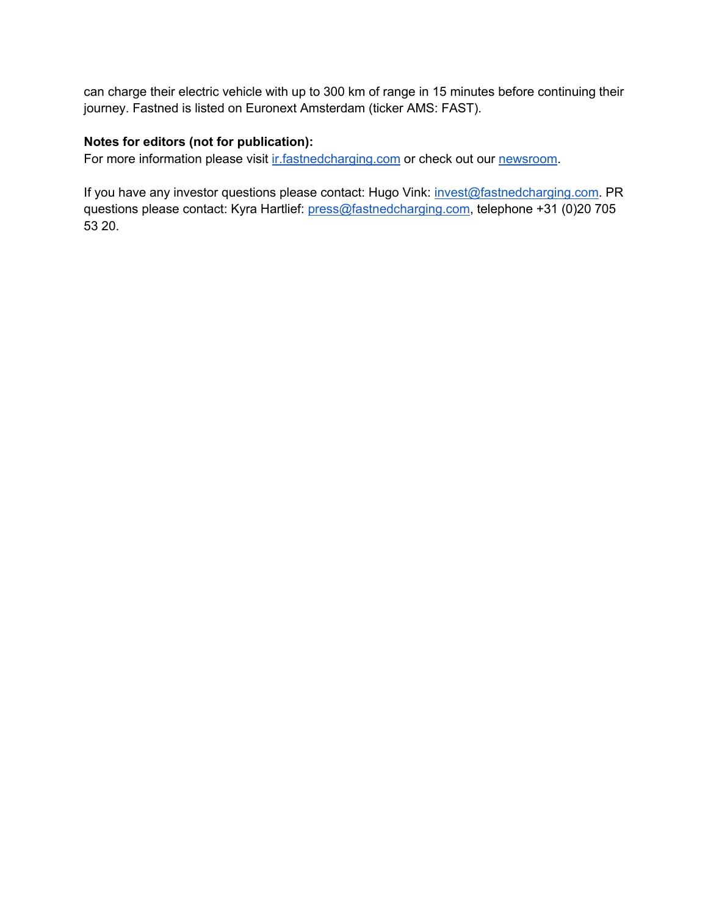can charge their electric vehicle with up to 300 km of range in 15 minutes before continuing their journey. Fastned is listed on Euronext Amsterdam (ticker AMS: FAST).

## **Notes for editors (not for publication):**

For more information please visit ir.fastnedcharging.com or check out our newsroom.

If you have any investor questions please contact: Hugo Vink: invest@fastnedcharging.com. PR questions please contact: Kyra Hartlief: press@fastnedcharging.com, telephone +31 (0)20 705 53 20.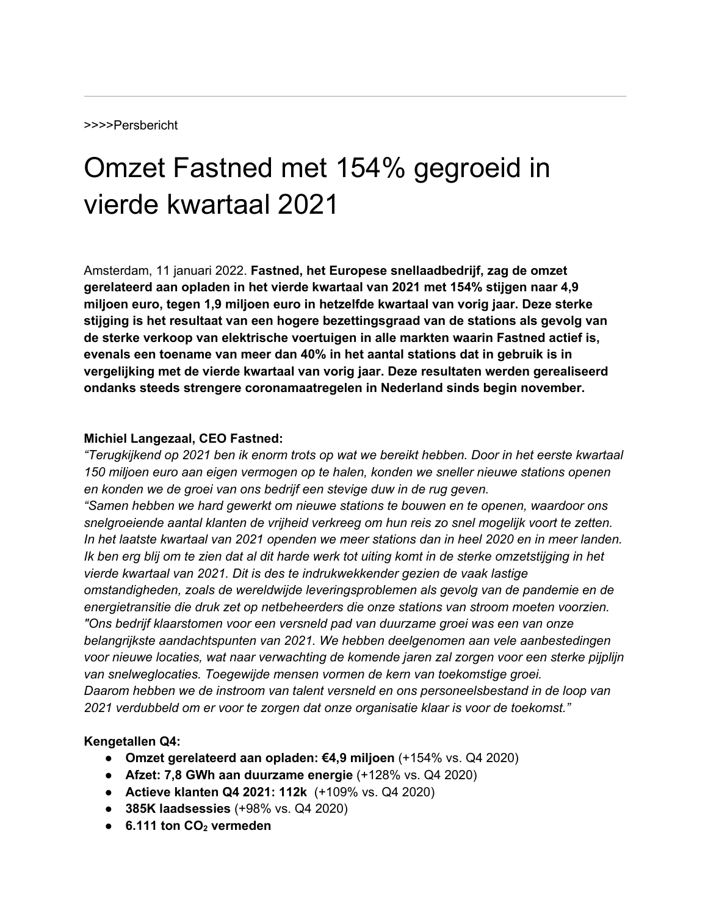# Omzet Fastned met 154% gegroeid in vierde kwartaal 2021

Amsterdam, 11 januari 2022. **Fastned, het Europese snellaadbedrijf, zag de omzet gerelateerd aan opladen in het vierde kwartaal van 2021 met 154% stijgen naar 4,9 miljoen euro, tegen 1,9 miljoen euro in hetzelfde kwartaal van vorig jaar. Deze sterke stijging is het resultaat van een hogere bezettingsgraad van de stations als gevolg van de sterke verkoop van elektrische voertuigen in alle markten waarin Fastned actief is, evenals een toename van meer dan 40% in het aantal stations dat in gebruik is in vergelijking met de vierde kwartaal van vorig jaar. Deze resultaten werden gerealiseerd ondanks steeds strengere coronamaatregelen in Nederland sinds begin november.** 

#### **Michiel Langezaal, CEO Fastned:**

*"Terugkijkend op 2021 ben ik enorm trots op wat we bereikt hebben. Door in het eerste kwartaal 150 miljoen euro aan eigen vermogen op te halen, konden we sneller nieuwe stations openen en konden we de groei van ons bedrijf een stevige duw in de rug geven. "Samen hebben we hard gewerkt om nieuwe stations te bouwen en te openen, waardoor ons snelgroeiende aantal klanten de vrijheid verkreeg om hun reis zo snel mogelijk voort te zetten. In het laatste kwartaal van 2021 openden we meer stations dan in heel 2020 en in meer landen. Ik ben erg blij om te zien dat al dit harde werk tot uiting komt in de sterke omzetstijging in het vierde kwartaal van 2021. Dit is des te indrukwekkender gezien de vaak lastige omstandigheden, zoals de wereldwijde leveringsproblemen als gevolg van de pandemie en de energietransitie die druk zet op netbeheerders die onze stations van stroom moeten voorzien. "Ons bedrijf klaarstomen voor een versneld pad van duurzame groei was een van onze belangrijkste aandachtspunten van 2021. We hebben deelgenomen aan vele aanbestedingen voor nieuwe locaties, wat naar verwachting de komende jaren zal zorgen voor een sterke pijplijn van snelweglocaties. Toegewijde mensen vormen de kern van toekomstige groei. Daarom hebben we de instroom van talent versneld en ons personeelsbestand in de loop van 2021 verdubbeld om er voor te zorgen dat onze organisatie klaar is voor de toekomst."*

### **Kengetallen Q4:**

- **Omzet gerelateerd aan opladen: €4,9 miljoen** (+154% vs. Q4 2020)
- **Afzet: 7,8 GWh aan duurzame energie** (+128% vs. Q4 2020)
- **Actieve klanten Q4 2021: 112k** (+109% vs. Q4 2020)
- **385K laadsessies** (+98% vs. Q4 2020)
- **6.111 ton CO2 vermeden**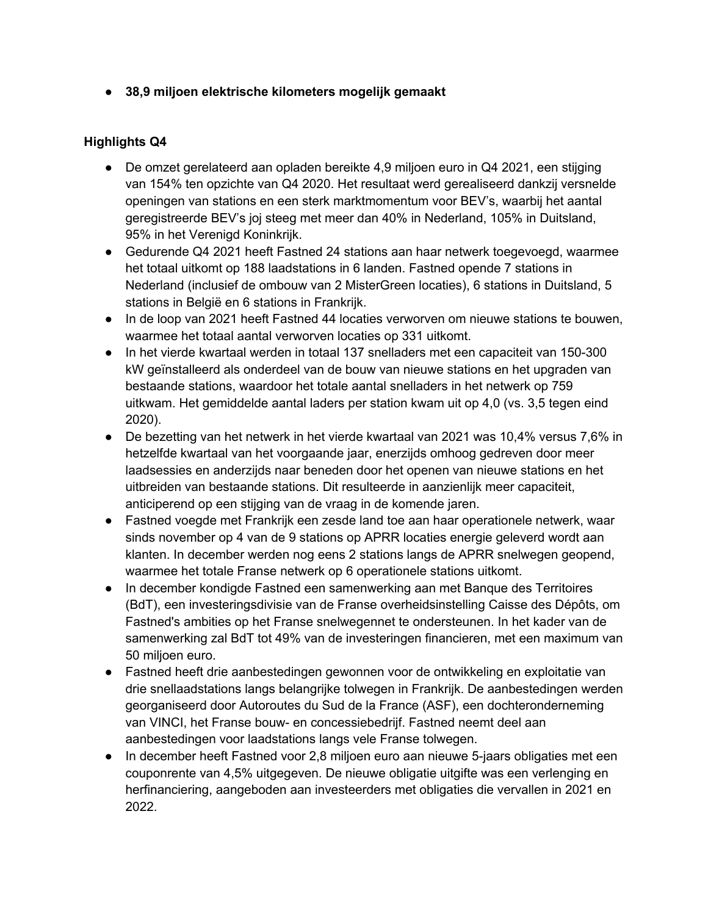● **38,9 miljoen elektrische kilometers mogelijk gemaakt**

## **Highlights Q4**

- De omzet gerelateerd aan opladen bereikte 4,9 miljoen euro in Q4 2021, een stijging van 154% ten opzichte van Q4 2020. Het resultaat werd gerealiseerd dankzij versnelde openingen van stations en een sterk marktmomentum voor BEV's, waarbij het aantal geregistreerde BEV's joj steeg met meer dan 40% in Nederland, 105% in Duitsland, 95% in het Verenigd Koninkrijk.
- Gedurende Q4 2021 heeft Fastned 24 stations aan haar netwerk toegevoegd, waarmee het totaal uitkomt op 188 laadstations in 6 landen. Fastned opende 7 stations in Nederland (inclusief de ombouw van 2 MisterGreen locaties), 6 stations in Duitsland, 5 stations in België en 6 stations in Frankrijk.
- In de loop van 2021 heeft Fastned 44 locaties verworven om nieuwe stations te bouwen, waarmee het totaal aantal verworven locaties op 331 uitkomt.
- In het vierde kwartaal werden in totaal 137 snelladers met een capaciteit van 150-300 kW geïnstalleerd als onderdeel van de bouw van nieuwe stations en het upgraden van bestaande stations, waardoor het totale aantal snelladers in het netwerk op 759 uitkwam. Het gemiddelde aantal laders per station kwam uit op 4,0 (vs. 3,5 tegen eind 2020).
- De bezetting van het netwerk in het vierde kwartaal van 2021 was 10,4% versus 7,6% in hetzelfde kwartaal van het voorgaande jaar, enerzijds omhoog gedreven door meer laadsessies en anderzijds naar beneden door het openen van nieuwe stations en het uitbreiden van bestaande stations. Dit resulteerde in aanzienlijk meer capaciteit, anticiperend op een stijging van de vraag in de komende jaren.
- Fastned voegde met Frankrijk een zesde land toe aan haar operationele netwerk, waar sinds november op 4 van de 9 stations op APRR locaties energie geleverd wordt aan klanten. In december werden nog eens 2 stations langs de APRR snelwegen geopend, waarmee het totale Franse netwerk op 6 operationele stations uitkomt.
- In december kondigde Fastned een samenwerking aan met Banque des Territoires (BdT), een investeringsdivisie van de Franse overheidsinstelling Caisse des Dépôts, om Fastned's ambities op het Franse snelwegennet te ondersteunen. In het kader van de samenwerking zal BdT tot 49% van de investeringen financieren, met een maximum van 50 miljoen euro.
- Fastned heeft drie aanbestedingen gewonnen voor de ontwikkeling en exploitatie van drie snellaadstations langs belangrijke tolwegen in Frankrijk. De aanbestedingen werden georganiseerd door Autoroutes du Sud de la France (ASF), een dochteronderneming van VINCI, het Franse bouw- en concessiebedrijf. Fastned neemt deel aan aanbestedingen voor laadstations langs vele Franse tolwegen.
- In december heeft Fastned voor 2,8 miljoen euro aan nieuwe 5-jaars obligaties met een couponrente van 4,5% uitgegeven. De nieuwe obligatie uitgifte was een verlenging en herfinanciering, aangeboden aan investeerders met obligaties die vervallen in 2021 en 2022.